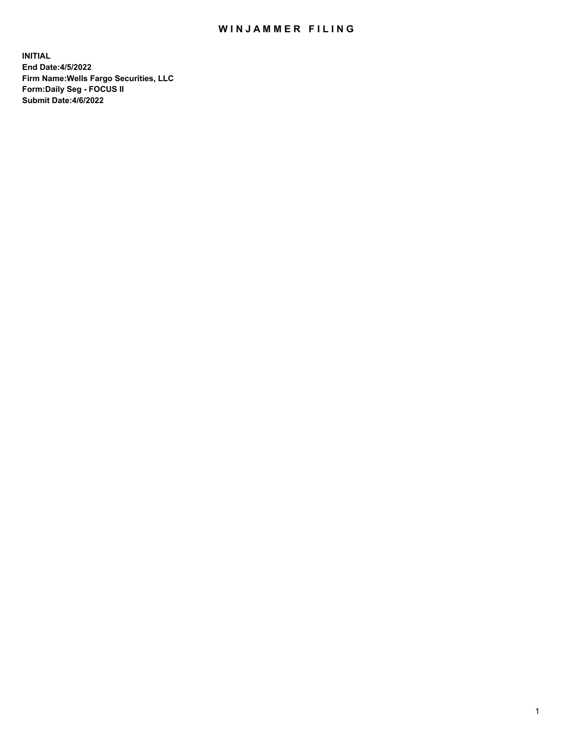## WIN JAMMER FILING

**INITIAL End Date:4/5/2022 Firm Name:Wells Fargo Securities, LLC Form:Daily Seg - FOCUS II Submit Date:4/6/2022**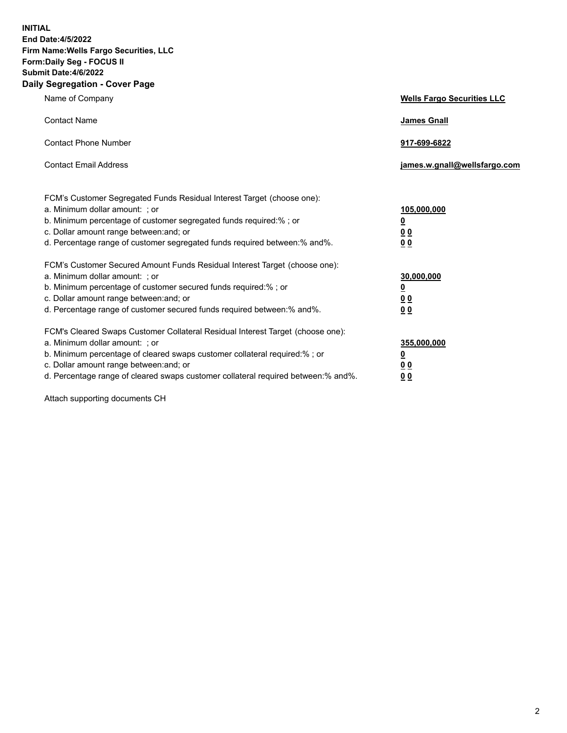**INITIAL End Date:4/5/2022 Firm Name:Wells Fargo Securities, LLC Form:Daily Seg - FOCUS II Submit Date:4/6/2022 Daily Segregation - Cover Page**

| Name of Company                                                                                                                                                                                                                                                                                                               | <b>Wells Fargo Securities LLC</b>                          |
|-------------------------------------------------------------------------------------------------------------------------------------------------------------------------------------------------------------------------------------------------------------------------------------------------------------------------------|------------------------------------------------------------|
| <b>Contact Name</b>                                                                                                                                                                                                                                                                                                           | <b>James Gnall</b>                                         |
| <b>Contact Phone Number</b>                                                                                                                                                                                                                                                                                                   | 917-699-6822                                               |
| <b>Contact Email Address</b>                                                                                                                                                                                                                                                                                                  | james.w.gnall@wellsfargo.com                               |
| FCM's Customer Segregated Funds Residual Interest Target (choose one):<br>a. Minimum dollar amount: ; or<br>b. Minimum percentage of customer segregated funds required:% ; or<br>c. Dollar amount range between: and; or<br>d. Percentage range of customer segregated funds required between:% and%.                        | 105,000,000<br><u>0</u><br>0 <sub>0</sub><br>00            |
| FCM's Customer Secured Amount Funds Residual Interest Target (choose one):<br>a. Minimum dollar amount: ; or<br>b. Minimum percentage of customer secured funds required:%; or<br>c. Dollar amount range between: and; or<br>d. Percentage range of customer secured funds required between: % and %.                         | 30,000,000<br><u>0</u><br>0 <sub>0</sub><br>0 <sub>0</sub> |
| FCM's Cleared Swaps Customer Collateral Residual Interest Target (choose one):<br>a. Minimum dollar amount: ; or<br>b. Minimum percentage of cleared swaps customer collateral required:%; or<br>c. Dollar amount range between: and; or<br>d. Percentage range of cleared swaps customer collateral required between:% and%. | 355,000,000<br><u>0</u><br>00<br>00                        |

Attach supporting documents CH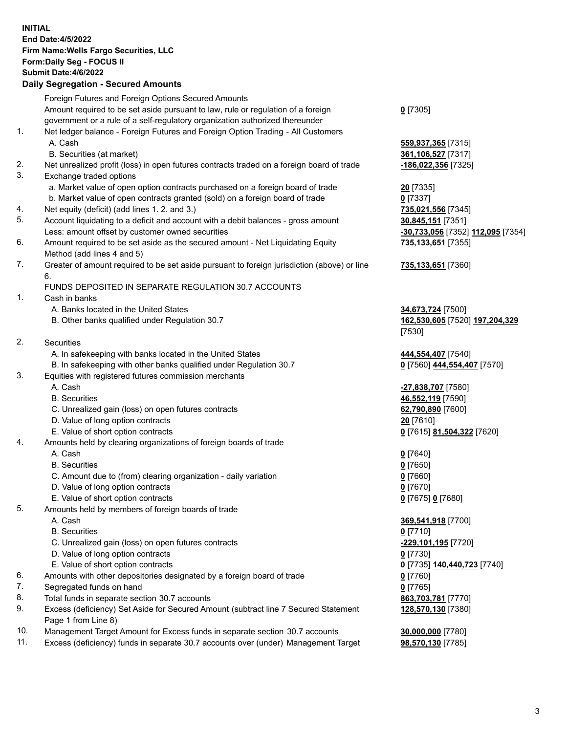**INITIAL End Date:4/5/2022 Firm Name:Wells Fargo Securities, LLC Form:Daily Seg - FOCUS II Submit Date:4/6/2022 Daily Segregation - Secured Amounts** Foreign Futures and Foreign Options Secured Amounts Amount required to be set aside pursuant to law, rule or regulation of a foreign government or a rule of a self-regulatory organization authorized thereunder **0** [7305] 1. Net ledger balance - Foreign Futures and Foreign Option Trading - All Customers A. Cash **559,937,365** [7315] B. Securities (at market) **361,106,527** [7317] 2. Net unrealized profit (loss) in open futures contracts traded on a foreign board of trade **-186,022,356** [7325] 3. Exchange traded options a. Market value of open option contracts purchased on a foreign board of trade **20** [7335] b. Market value of open contracts granted (sold) on a foreign board of trade **0** [7337] 4. Net equity (deficit) (add lines 1. 2. and 3.) **735,021,556** [7345] 5. Account liquidating to a deficit and account with a debit balances - gross amount **30,845,151** [7351] Less: amount offset by customer owned securities **-30,733,056** [7352] **112,095** [7354] 6. Amount required to be set aside as the secured amount - Net Liquidating Equity Method (add lines 4 and 5) **735,133,651** [7355] 7. Greater of amount required to be set aside pursuant to foreign jurisdiction (above) or line 6. **735,133,651** [7360] FUNDS DEPOSITED IN SEPARATE REGULATION 30.7 ACCOUNTS 1. Cash in banks A. Banks located in the United States **34,673,724** [7500] B. Other banks qualified under Regulation 30.7 **162,530,605** [7520] **197,204,329** [7530] 2. Securities A. In safekeeping with banks located in the United States **444,554,407** [7540] B. In safekeeping with other banks qualified under Regulation 30.7 **0** [7560] **444,554,407** [7570] 3. Equities with registered futures commission merchants A. Cash **-27,838,707** [7580] B. Securities **46,552,119** [7590] C. Unrealized gain (loss) on open futures contracts **62,790,890** [7600] D. Value of long option contracts **20** [7610] E. Value of short option contracts **0** [7615] **81,504,322** [7620] 4. Amounts held by clearing organizations of foreign boards of trade A. Cash **0** [7640] B. Securities **0** [7650] C. Amount due to (from) clearing organization - daily variation **0** [7660] D. Value of long option contracts **0** [7670] E. Value of short option contracts **0** [7675] **0** [7680] 5. Amounts held by members of foreign boards of trade A. Cash **369,541,918** [7700] B. Securities **0** [7710] C. Unrealized gain (loss) on open futures contracts **-229,101,195** [7720] D. Value of long option contracts **0** [7730] E. Value of short option contracts **0** [7735] **140,440,723** [7740] 6. Amounts with other depositories designated by a foreign board of trade **0** [7760] 7. Segregated funds on hand **0** [7765] 8. Total funds in separate section 30.7 accounts **863,703,781** [7770] 9. Excess (deficiency) Set Aside for Secured Amount (subtract line 7 Secured Statement Page 1 from Line 8) **128,570,130** [7380] 10. Management Target Amount for Excess funds in separate section 30.7 accounts **30,000,000** [7780]

11. Excess (deficiency) funds in separate 30.7 accounts over (under) Management Target **98,570,130** [7785]

3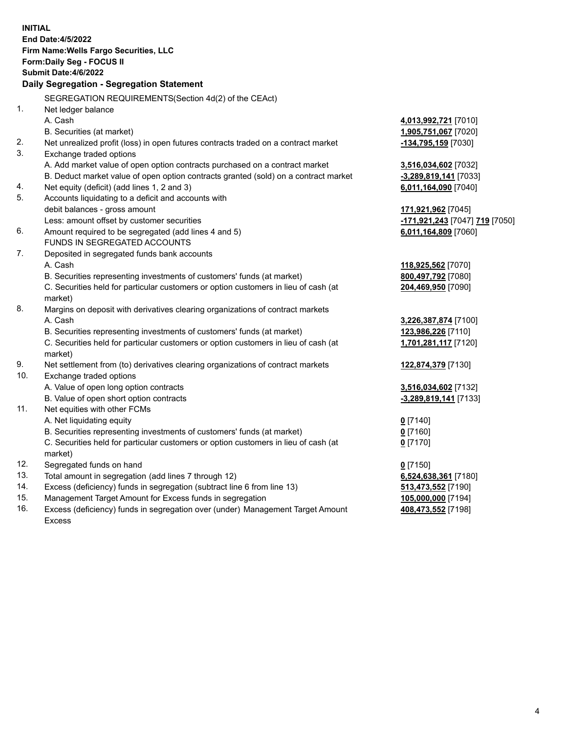|     | <b>INITIAL</b><br><b>End Date:4/5/2022</b><br>Firm Name: Wells Fargo Securities, LLC<br>Form: Daily Seg - FOCUS II<br><b>Submit Date: 4/6/2022</b><br>Daily Segregation - Segregation Statement |                                |
|-----|-------------------------------------------------------------------------------------------------------------------------------------------------------------------------------------------------|--------------------------------|
|     | SEGREGATION REQUIREMENTS(Section 4d(2) of the CEAct)                                                                                                                                            |                                |
| 1.  | Net ledger balance                                                                                                                                                                              |                                |
|     | A. Cash                                                                                                                                                                                         | 4,013,992,721 [7010]           |
|     | B. Securities (at market)                                                                                                                                                                       | 1,905,751,067 [7020]           |
| 2.  | Net unrealized profit (loss) in open futures contracts traded on a contract market                                                                                                              | -134,795,159 [7030]            |
| 3.  | Exchange traded options                                                                                                                                                                         |                                |
|     | A. Add market value of open option contracts purchased on a contract market                                                                                                                     | 3,516,034,602 [7032]           |
|     | B. Deduct market value of open option contracts granted (sold) on a contract market                                                                                                             | -3,289,819,141 [7033]          |
| 4.  | Net equity (deficit) (add lines 1, 2 and 3)                                                                                                                                                     | 6,011,164,090 [7040]           |
| 5.  | Accounts liquidating to a deficit and accounts with                                                                                                                                             |                                |
|     | debit balances - gross amount                                                                                                                                                                   | 171,921,962 [7045]             |
|     | Less: amount offset by customer securities                                                                                                                                                      | -171,921,243 [7047] 719 [7050] |
| 6.  | Amount required to be segregated (add lines 4 and 5)                                                                                                                                            | 6,011,164,809 [7060]           |
|     | FUNDS IN SEGREGATED ACCOUNTS                                                                                                                                                                    |                                |
| 7.  | Deposited in segregated funds bank accounts                                                                                                                                                     |                                |
|     | A. Cash                                                                                                                                                                                         | 118,925,562 [7070]             |
|     | B. Securities representing investments of customers' funds (at market)                                                                                                                          | 800,497,792 [7080]             |
|     | C. Securities held for particular customers or option customers in lieu of cash (at<br>market)                                                                                                  | 204,469,950 [7090]             |
| 8.  | Margins on deposit with derivatives clearing organizations of contract markets                                                                                                                  |                                |
|     | A. Cash                                                                                                                                                                                         | 3,226,387,874 [7100]           |
|     | B. Securities representing investments of customers' funds (at market)                                                                                                                          | 123,986,226 [7110]             |
|     | C. Securities held for particular customers or option customers in lieu of cash (at<br>market)                                                                                                  | 1,701,281,117 [7120]           |
| 9.  | Net settlement from (to) derivatives clearing organizations of contract markets                                                                                                                 | 122,874,379 [7130]             |
| 10. | Exchange traded options                                                                                                                                                                         |                                |
|     | A. Value of open long option contracts                                                                                                                                                          | 3,516,034,602 [7132]           |
|     | B. Value of open short option contracts                                                                                                                                                         | -3,289,819,141 [7133]          |
| 11. | Net equities with other FCMs                                                                                                                                                                    |                                |
|     | A. Net liquidating equity                                                                                                                                                                       | $0$ [7140]                     |
|     | B. Securities representing investments of customers' funds (at market)                                                                                                                          | $0$ [7160]                     |
|     | C. Securities held for particular customers or option customers in lieu of cash (at                                                                                                             | $0$ [7170]                     |
|     | market)                                                                                                                                                                                         |                                |
| 12. | Segregated funds on hand                                                                                                                                                                        | $0$ [7150]                     |
| 13. | Total amount in segregation (add lines 7 through 12)                                                                                                                                            | 6,524,638,361 [7180]           |
| 14. | Excess (deficiency) funds in segregation (subtract line 6 from line 13)                                                                                                                         | 513,473,552 [7190]             |
| 15. | Management Target Amount for Excess funds in segregation                                                                                                                                        | 105,000,000 [7194]             |
| 16. | Excess (deficiency) funds in segregation over (under) Management Target Amount<br><b>Excess</b>                                                                                                 | 408,473,552 [7198]             |